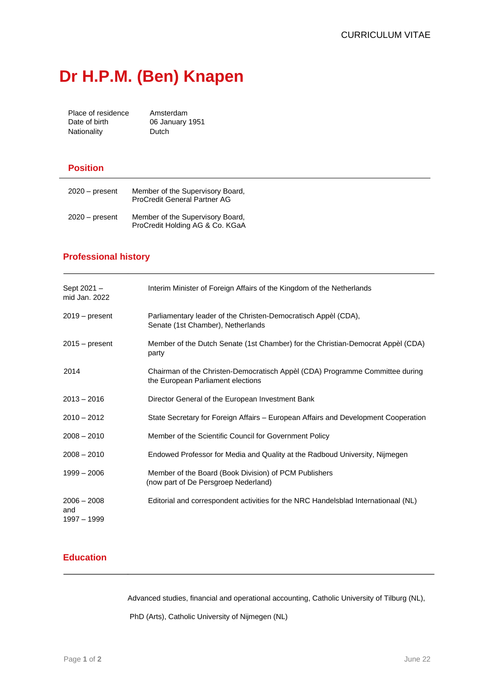# **Dr H.P.M. (Ben) Knapen**

Place of residence Amsterdam<br>Date of birth 06 January 06 January 1951 Nationality **Dutch** 

#### **Position**

| $2020 - present$ | Member of the Supervisory Board,<br><b>ProCredit General Partner AG</b> |
|------------------|-------------------------------------------------------------------------|
| $2020 - present$ | Member of the Supervisory Board,<br>ProCredit Holding AG & Co. KGaA     |

### **Professional history**

| Sept 2021 -<br>mid Jan. 2022        | Interim Minister of Foreign Affairs of the Kingdom of the Netherlands                                             |
|-------------------------------------|-------------------------------------------------------------------------------------------------------------------|
| $2019 - present$                    | Parliamentary leader of the Christen-Democratisch Appèl (CDA),<br>Senate (1st Chamber), Netherlands               |
| $2015 - present$                    | Member of the Dutch Senate (1st Chamber) for the Christian-Democrat Appèl (CDA)<br>party                          |
| 2014                                | Chairman of the Christen-Democratisch Appèl (CDA) Programme Committee during<br>the European Parliament elections |
| $2013 - 2016$                       | Director General of the European Investment Bank                                                                  |
| $2010 - 2012$                       | State Secretary for Foreign Affairs - European Affairs and Development Cooperation                                |
| $2008 - 2010$                       | Member of the Scientific Council for Government Policy                                                            |
| $2008 - 2010$                       | Endowed Professor for Media and Quality at the Radboud University, Nijmegen                                       |
| $1999 - 2006$                       | Member of the Board (Book Division) of PCM Publishers<br>(now part of De Persgroep Nederland)                     |
| $2006 - 2008$<br>and<br>1997 - 1999 | Editorial and correspondent activities for the NRC Handelsblad Internationaal (NL)                                |

## **Education**

Advanced studies, financial and operational accounting, Catholic University of Tilburg (NL),

PhD (Arts), Catholic University of Nijmegen (NL)